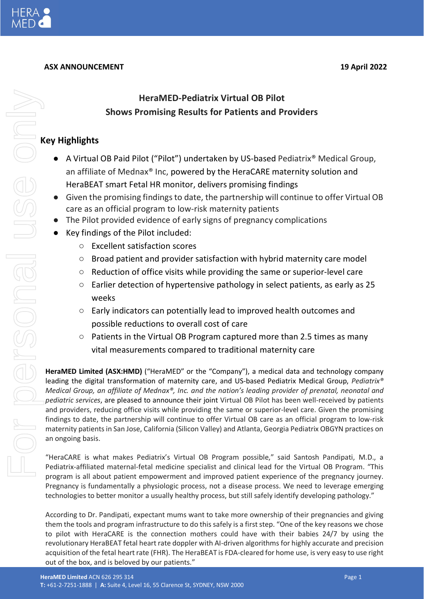

ISONGI

# **ASX ANNOUNCEMENT 19 April 2022**

# **Key Highlights** For personal use only

- A Virtual OB Paid Pilot ("Pilot") undertaken by US-based Pediatrix® Medical Group, an affiliate of Mednax® Inc, powered by the HeraCARE maternity solution and HeraBEAT smart Fetal HR monitor, delivers promising findings
- Given the promising findings to date, the partnership will continue to offer Virtual OB care as an official program to low-risk maternity patients
- The Pilot provided evidence of early signs of pregnancy complications
- Key findings of the Pilot included:
	- Excellent satisfaction scores
	- Broad patient and provider satisfaction with hybrid maternity care model
	- Reduction of office visits while providing the same or superior-level care
	- Earlier detection of hypertensive pathology in select patients, as early as 25 weeks
	- Early indicators can potentially lead to improved health outcomes and possible reductions to overall cost of care
	- Patients in the Virtual OB Program captured more than 2.5 times as many vital measurements compared to traditional maternity care

**HeraMED Limited (ASX:HMD)** ("HeraMED" or the "Company"), a medical data and technology company leading the digital transformation of maternity care, and US-based Pediatrix Medical Group, *Pediatrix® Medical Group, an affiliate of Mednax®, Inc. and the nation's leading provider of prenatal, neonatal and pediatric services*, are pleased to announce their joint Virtual OB Pilot has been well-received by patients and providers, reducing office visits while providing the same or superior-level care. Given the promising findings to date, the partnership will continue to offer Virtual OB care as an official program to low-risk maternity patients in San Jose, California (Silicon Valley) and Atlanta, Georgia Pediatrix OBGYN practices on an ongoing basis.

"HeraCARE is what makes Pediatrix's Virtual OB Program possible," said Santosh Pandipati, M.D., a Pediatrix-affiliated maternal-fetal medicine specialist and clinical lead for the Virtual OB Program. "This program is all about patient empowerment and improved patient experience of the pregnancy journey. Pregnancy is fundamentally a physiologic process, not a disease process. We need to leverage emerging technologies to better monitor a usually healthy process, but still safely identify developing pathology."

According to Dr. Pandipati, expectant mums want to take more ownership of their pregnancies and giving them the tools and program infrastructure to do this safely is a first step. "One of the key reasons we chose to pilot with HeraCARE is the connection mothers could have with their babies 24/7 by using the revolutionary HeraBEAT fetal heart rate doppler with AI-driven algorithms for highly accurate and precision acquisition of the fetal heart rate (FHR). The HeraBEAT is FDA-cleared for home use, is very easy to use right out of the box, and is beloved by our patients."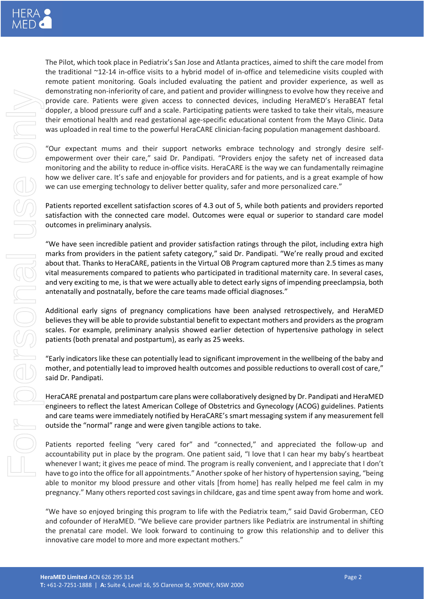For personal use only 

The Pilot, which took place in Pediatrix's San Jose and Atlanta practices, aimed to shift the care model from the traditional ~12-14 in-office visits to a hybrid model of in-office and telemedicine visits coupled with remote patient monitoring. Goals included evaluating the patient and provider experience, as well as demonstrating non-inferiority of care, and patient and provider willingness to evolve how they receive and provide care. Patients were given access to connected devices, including HeraMED's HeraBEAT fetal doppler, a blood pressure cuff and a scale. Participating patients were tasked to take their vitals, measure their emotional health and read gestational age-specific educational content from the Mayo Clinic. Data was uploaded in real time to the powerful HeraCARE clinician-facing population management dashboard.

"Our expectant mums and their support networks embrace technology and strongly desire selfempowerment over their care," said Dr. Pandipati. "Providers enjoy the safety net of increased data monitoring and the ability to reduce in-office visits. HeraCARE is the way we can fundamentally reimagine how we deliver care. It's safe and enjoyable for providers and for patients, and is a great example of how we can use emerging technology to deliver better quality, safer and more personalized care."

Patients reported excellent satisfaction scores of 4.3 out of 5, while both patients and providers reported satisfaction with the connected care model. Outcomes were equal or superior to standard care model outcomes in preliminary analysis.

"We have seen incredible patient and provider satisfaction ratings through the pilot, including extra high marks from providers in the patient safety category," said Dr. Pandipati. "We're really proud and excited about that. Thanks to HeraCARE, patients in the Virtual OB Program captured more than 2.5 times as many vital measurements compared to patients who participated in traditional maternity care. In several cases, and very exciting to me, is that we were actually able to detect early signs of impending preeclampsia, both antenatally and postnatally, before the care teams made official diagnoses."

Additional early signs of pregnancy complications have been analysed retrospectively, and HeraMED believes they will be able to provide substantial benefit to expectant mothers and providers as the program scales. For example, preliminary analysis showed earlier detection of hypertensive pathology in select patients (both prenatal and postpartum), as early as 25 weeks.

"Early indicators like these can potentially lead to significant improvement in the wellbeing of the baby and mother, and potentially lead to improved health outcomes and possible reductions to overall cost of care," said Dr. Pandipati.

HeraCARE prenatal and postpartum care plans were collaboratively designed by Dr. Pandipati and HeraMED engineers to reflect the latest American College of Obstetrics and Gynecology (ACOG) guidelines. Patients and care teams were immediately notified by HeraCARE's smart messaging system if any measurement fell outside the "normal" range and were given tangible actions to take.

Patients reported feeling "very cared for" and "connected," and appreciated the follow-up and accountability put in place by the program. One patient said, "I love that I can hear my baby's heartbeat whenever I want; it gives me peace of mind. The program is really convenient, and I appreciate that I don't have to go into the office for all appointments." Another spoke of her history of hypertension saying, "being able to monitor my blood pressure and other vitals [from home] has really helped me feel calm in my pregnancy." Many others reported cost savings in childcare, gas and time spent away from home and work.

"We have so enjoyed bringing this program to life with the Pediatrix team," said David Groberman, CEO and cofounder of HeraMED. "We believe care provider partners like Pediatrix are instrumental in shifting the prenatal care model. We look forward to continuing to grow this relationship and to deliver this innovative care model to more and more expectant mothers."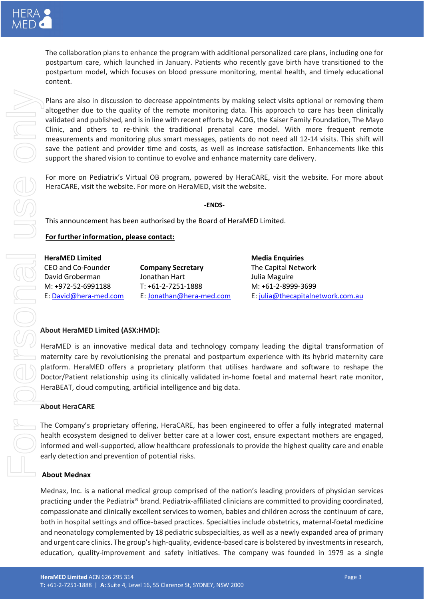

The collaboration plans to enhance the program with additional personalized care plans, including one for postpartum care, which launched in January. Patients who recently gave birth have transitioned to the postpartum model, which focuses on blood pressure monitoring, mental health, and timely educational content.

Plans are also in discussion to decrease appointments by making select visits optional or removing them altogether due to the quality of the remote monitoring data. This approach to care has been clinically validated and published, and is in line with recent efforts by ACOG, the Kaiser Family Foundation, The Mayo Clinic, and others to re-think the traditional prenatal care model. With more frequent remote measurements and monitoring plus smart messages, patients do not need all 12-14 visits. This shift will save the patient and provider time and costs, as well as increase satisfaction. Enhancements like this support the shared vision to continue to evolve and enhance maternity care delivery.

For more on Pediatrix's Virtual OB program, powered by HeraCARE, visit the [website.](https://www.mednax.com/virtualob/) For more about HeraCARE, visit the [website.](https://heracare.co/) For more on HeraMED, visit the [website.](https://hera-med.com/)

**-ENDS-**

This announcement has been authorised by the Board of HeraMED Limited.

## **For further information, please contact:**

| <b>HeraMED Limited</b> |                          | <b>Media Enquiries</b>            |
|------------------------|--------------------------|-----------------------------------|
| CEO and Co-Founder     | <b>Company Secretary</b> | The Capital Network               |
| David Groberman        | Jonathan Hart            | Julia Maguire                     |
| M: +972-52-6991188     | $T: +61-2-7251-1888$     | M: +61-2-8999-3699                |
| E: David@hera-med.com  | E: Jonathan@hera-med.com | E: julia@thecapitalnetwork.com.au |

### **About HeraMED Limited (ASX:HMD):**

HeraMED is an innovative medical data and technology company leading the digital transformation of maternity care by revolutionising the prenatal and postpartum experience with its hybrid maternity care platform. HeraMED offers a proprietary platform that utilises hardware and software to reshape the Doctor/Patient relationship using its clinically validated in-home foetal and maternal heart rate monitor, HeraBEAT, cloud computing, artificial intelligence and big data.

### **About HeraCARE**

The Company's proprietary offering, HeraCARE, has been engineered to offer a fully integrated maternal health ecosystem designed to deliver better care at a lower cost, ensure expectant mothers are engaged, informed and well-supported, allow healthcare professionals to provide the highest quality care and enable early detection and prevention of potential risks.

### **About Mednax**

Mednax, Inc. is a national medical group comprised of the nation's leading providers of physician services practicing under the Pediatrix® brand. Pediatrix-affiliated clinicians are committed to providing coordinated, compassionate and clinically excellent services to women, babies and children across the continuum of care, both in hospital settings and office-based practices. Specialties include obstetrics, maternal-foetal medicine and neonatology complemented by 18 pediatric subspecialties, as well as a newly expanded area of primary and urgent care clinics. The group's high-quality, evidence-based care is bolstered by investments in research, Function the information of methods and the initiative provides the company was found or entropy the company was found in the company was found in the company was found in the company was found in the company was found in